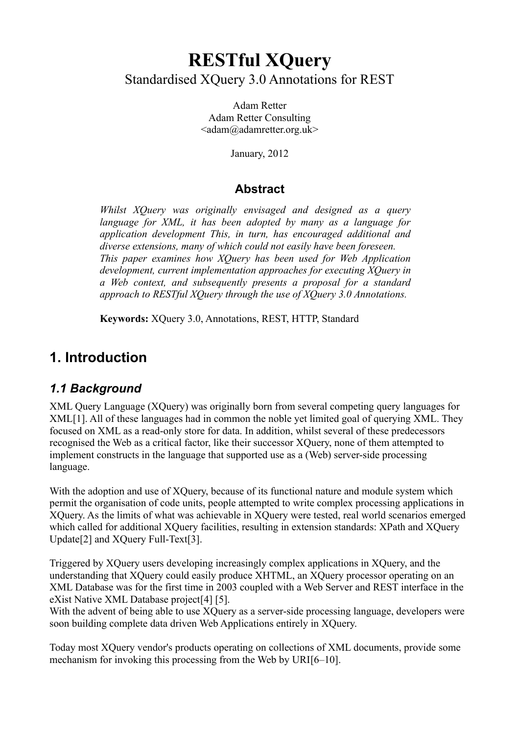# **RESTful XQuery** Standardised XQuery 3.0 Annotations for REST

Adam Retter Adam Retter Consulting <adam@adamretter.org.uk>

January, 2012

#### **Abstract**

*Whilst XQuery was originally envisaged and designed as a query language for XML, it has been adopted by many as a language for application development This, in turn, has encouraged additional and diverse extensions, many of which could not easily have been foreseen. This paper examines how XQuery has been used for Web Application development, current implementation approaches for executing XQuery in a Web context, and subsequently presents a proposal for a standard approach to RESTful XQuery through the use of XQuery 3.0 Annotations.*

**Keywords:** XQuery 3.0, Annotations, REST, HTTP, Standard

## **1. Introduction**

### *1.1 Background*

XML Query Language (XQuery) was originally born from several competing query languages for XML[1]. All of these languages had in common the noble yet limited goal of querying XML. They focused on XML as a read-only store for data. In addition, whilst several of these predecessors recognised the Web as a critical factor, like their successor XQuery, none of them attempted to implement constructs in the language that supported use as a (Web) server-side processing language.

With the adoption and use of XQuery, because of its functional nature and module system which permit the organisation of code units, people attempted to write complex processing applications in XQuery. As the limits of what was achievable in XQuery were tested, real world scenarios emerged which called for additional XQuery facilities, resulting in extension standards: XPath and XQuery Update[2] and XQuery Full-Text[3].

Triggered by XQuery users developing increasingly complex applications in XQuery, and the understanding that XQuery could easily produce XHTML, an XQuery processor operating on an XML Database was for the first time in 2003 coupled with a Web Server and REST interface in the eXist Native XML Database project[4] [5].

With the advent of being able to use XQuery as a server-side processing language, developers were soon building complete data driven Web Applications entirely in XQuery.

Today most XQuery vendor's products operating on collections of XML documents, provide some mechanism for invoking this processing from the Web by URI[6–10].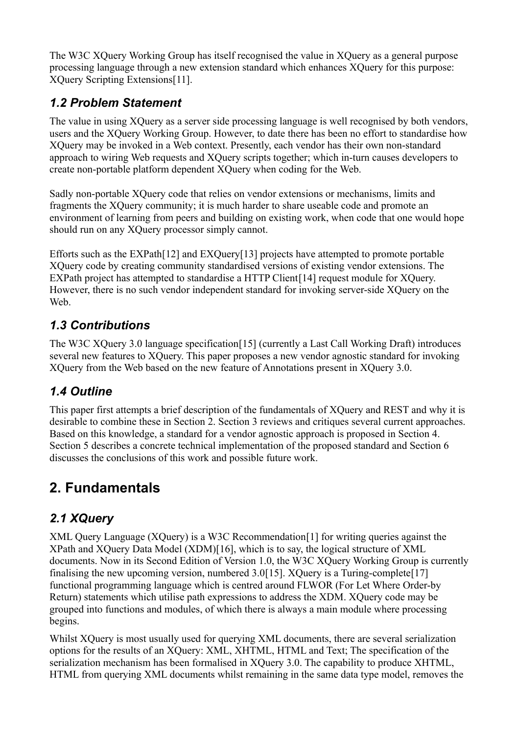The W3C XQuery Working Group has itself recognised the value in XQuery as a general purpose processing language through a new extension standard which enhances XQuery for this purpose: XQuery Scripting Extensions[11].

## *1.2 Problem Statement*

The value in using XQuery as a server side processing language is well recognised by both vendors, users and the XQuery Working Group. However, to date there has been no effort to standardise how XQuery may be invoked in a Web context. Presently, each vendor has their own non-standard approach to wiring Web requests and XQuery scripts together; which in-turn causes developers to create non-portable platform dependent XQuery when coding for the Web.

Sadly non-portable XQuery code that relies on vendor extensions or mechanisms, limits and fragments the XQuery community; it is much harder to share useable code and promote an environment of learning from peers and building on existing work, when code that one would hope should run on any XQuery processor simply cannot.

Efforts such as the EXPath[12] and EXQuery[13] projects have attempted to promote portable XQuery code by creating community standardised versions of existing vendor extensions. The EXPath project has attempted to standardise a HTTP Client [14] request module for XOuery. However, there is no such vendor independent standard for invoking server-side XQuery on the **Web**.

## *1.3 Contributions*

The W3C XQuery 3.0 language specification[15] (currently a Last Call Working Draft) introduces several new features to XQuery. This paper proposes a new vendor agnostic standard for invoking XQuery from the Web based on the new feature of Annotations present in XQuery 3.0.

## *1.4 Outline*

This paper first attempts a brief description of the fundamentals of XQuery and REST and why it is desirable to combine these in Section 2. Section 3 reviews and critiques several current approaches. Based on this knowledge, a standard for a vendor agnostic approach is proposed in Section 4. Section 5 describes a concrete technical implementation of the proposed standard and Section 6 discusses the conclusions of this work and possible future work.

# **2. Fundamentals**

## *2.1 XQuery*

XML Query Language (XQuery) is a W3C Recommendation[1] for writing queries against the XPath and XQuery Data Model (XDM)[16], which is to say, the logical structure of XML documents. Now in its Second Edition of Version 1.0, the W3C XQuery Working Group is currently finalising the new upcoming version, numbered 3.0[15]. XQuery is a Turing-complete[17] functional programming language which is centred around FLWOR (For Let Where Order-by Return) statements which utilise path expressions to address the XDM. XQuery code may be grouped into functions and modules, of which there is always a main module where processing begins.

Whilst XQuery is most usually used for querying XML documents, there are several serialization options for the results of an XQuery: XML, XHTML, HTML and Text; The specification of the serialization mechanism has been formalised in XQuery 3.0. The capability to produce XHTML, HTML from querying XML documents whilst remaining in the same data type model, removes the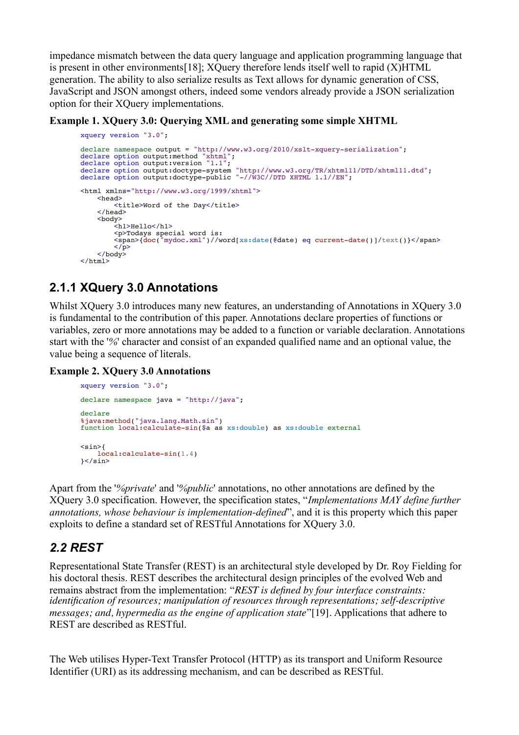impedance mismatch between the data query language and application programming language that is present in other environments[18]; XQuery therefore lends itself well to rapid (X)HTML generation. The ability to also serialize results as Text allows for dynamic generation of CSS, JavaScript and JSON amongst others, indeed some vendors already provide a JSON serialization option for their XQuery implementations.

**Example 1. XQuery 3.0: Querying XML and generating some simple XHTML**

```
xquery version "3.0";
declare namespace output = "http://www.w3.org/2010/xslt-xquery-serialization";
declare option output:method "xhtml";
declare option output:version "1.1";
declare option output:doctype-system "http://www.w3.org/TR/xhtml11/DTD/xhtml11.dtd";
declare option output:doctype-public "-//W3C//DTD XHTML 1.1//EN";
<html xmlns="http://www.w3.org/1999/xhtml">
    <head>
        <title>Word of the Day</title>
     </head>
     <body>
        -1<br><h1>Hello</h1>
         <p>Todays special word is:
         <span>{doc("mydoc.xml")//word[xs:date(@date) eq current-date()]/text()}</span>
        \langle \overline{p} \rangle </body>
\langle/html>
```
## **2.1.1 XQuery 3.0 Annotations**

Whilst XQuery 3.0 introduces many new features, an understanding of Annotations in XQuery 3.0 is fundamental to the contribution of this paper. Annotations declare properties of functions or variables, zero or more annotations may be added to a function or variable declaration. Annotations start with the '*%*' character and consist of an expanded qualified name and an optional value, the value being a sequence of literals.

#### **Example 2. XQuery 3.0 Annotations**

```
xquery version "3.0";
declare namespace java = "http://java";
declare
%java:method("java.lang.Math.sin")
function local:calculate-sin($a as xs:double) as xs:double external
<sin>{
    local:calculate-sin(1.4)
}</sin>
```
Apart from the '*%private*' and '*%public*' annotations, no other annotations are defined by the XQuery 3.0 specification. However, the specification states, "*Implementations MAY define further annotations, whose behaviour is implementation-defined*", and it is this property which this paper exploits to define a standard set of RESTful Annotations for XQuery 3.0.

### *2.2 REST*

Representational State Transfer (REST) is an architectural style developed by Dr. Roy Fielding for his doctoral thesis. REST describes the architectural design principles of the evolved Web and remains abstract from the implementation: "*REST is defined by four interface constraints: identification of resources; manipulation of resources through representations; self-descriptive messages; and, hypermedia as the engine of application state*"[19]. Applications that adhere to REST are described as RESTful.

The Web utilises Hyper-Text Transfer Protocol (HTTP) as its transport and Uniform Resource Identifier (URI) as its addressing mechanism, and can be described as RESTful.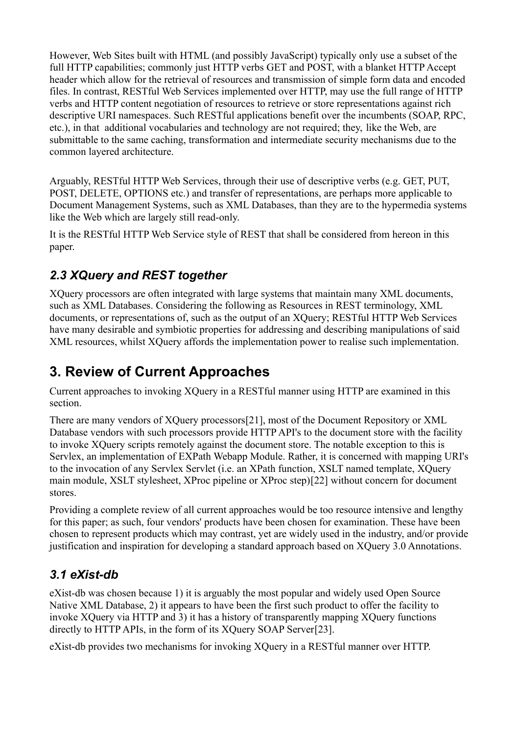However, Web Sites built with HTML (and possibly JavaScript) typically only use a subset of the full HTTP capabilities; commonly just HTTP verbs GET and POST, with a blanket HTTP Accept header which allow for the retrieval of resources and transmission of simple form data and encoded files. In contrast, RESTful Web Services implemented over HTTP, may use the full range of HTTP verbs and HTTP content negotiation of resources to retrieve or store representations against rich descriptive URI namespaces. Such RESTful applications benefit over the incumbents (SOAP, RPC, etc.), in that additional vocabularies and technology are not required; they, like the Web, are submittable to the same caching, transformation and intermediate security mechanisms due to the common layered architecture.

Arguably, RESTful HTTP Web Services, through their use of descriptive verbs (e.g. GET, PUT, POST, DELETE, OPTIONS etc.) and transfer of representations, are perhaps more applicable to Document Management Systems, such as XML Databases, than they are to the hypermedia systems like the Web which are largely still read-only.

It is the RESTful HTTP Web Service style of REST that shall be considered from hereon in this paper.

## *2.3 XQuery and REST together*

XQuery processors are often integrated with large systems that maintain many XML documents, such as XML Databases. Considering the following as Resources in REST terminology, XML documents, or representations of, such as the output of an XQuery; RESTful HTTP Web Services have many desirable and symbiotic properties for addressing and describing manipulations of said XML resources, whilst XQuery affords the implementation power to realise such implementation.

# **3. Review of Current Approaches**

Current approaches to invoking XQuery in a RESTful manner using HTTP are examined in this section.

There are many vendors of XQuery processors[21], most of the Document Repository or XML Database vendors with such processors provide HTTP API's to the document store with the facility to invoke XQuery scripts remotely against the document store. The notable exception to this is Servlex, an implementation of EXPath Webapp Module. Rather, it is concerned with mapping URI's to the invocation of any Servlex Servlet (i.e. an XPath function, XSLT named template, XQuery main module, XSLT stylesheet, XProc pipeline or XProc step)[22] without concern for document stores.

Providing a complete review of all current approaches would be too resource intensive and lengthy for this paper; as such, four vendors' products have been chosen for examination. These have been chosen to represent products which may contrast, yet are widely used in the industry, and/or provide justification and inspiration for developing a standard approach based on XQuery 3.0 Annotations.

### *3.1 eXist-db*

eXist-db was chosen because 1) it is arguably the most popular and widely used Open Source Native XML Database, 2) it appears to have been the first such product to offer the facility to invoke XQuery via HTTP and 3) it has a history of transparently mapping XQuery functions directly to HTTP APIs, in the form of its XQuery SOAP Server[23].

eXist-db provides two mechanisms for invoking XQuery in a RESTful manner over HTTP.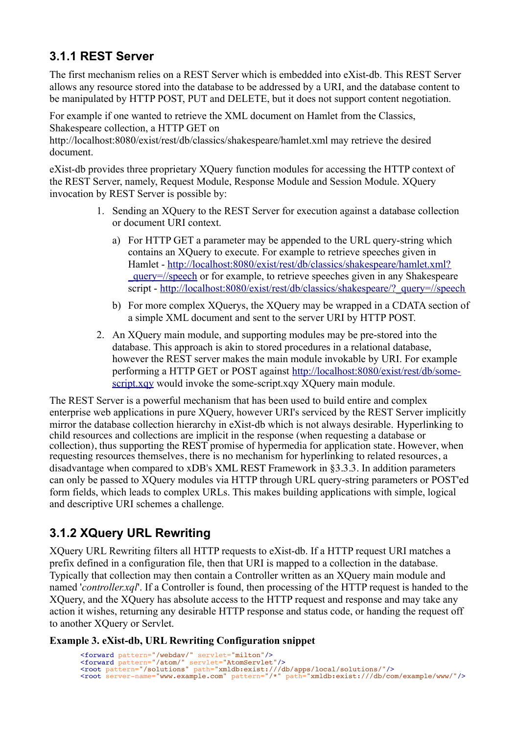## **3.1.1 REST Server**

The first mechanism relies on a REST Server which is embedded into eXist-db. This REST Server allows any resource stored into the database to be addressed by a URI, and the database content to be manipulated by HTTP POST, PUT and DELETE, but it does not support content negotiation.

For example if one wanted to retrieve the XML document on Hamlet from the Classics, Shakespeare collection, a HTTP GET on

http://localhost:8080/exist/rest/db/classics/shakespeare/hamlet.xml may retrieve the desired document.

eXist-db provides three proprietary XQuery function modules for accessing the HTTP context of the REST Server, namely, Request Module, Response Module and Session Module. XQuery invocation by REST Server is possible by:

- 1. Sending an XQuery to the REST Server for execution against a database collection or document URI context.
	- a) For HTTP GET a parameter may be appended to the URL query-string which contains an XQuery to execute. For example to retrieve speeches given in Hamlet - [http://localhost:8080/exist/rest/db/classics/shakespeare/hamlet.xml?](http://localhost:8080/exist/rest/db/classics/shakespeare/hamlet.xml?_query=//speech) [\\_query=//speech](http://localhost:8080/exist/rest/db/classics/shakespeare/hamlet.xml?_query=//speech) or for example, to retrieve speeches given in any Shakespeare script - [http://localhost:8080/exist/rest/db/classics/shakespeare/?\\_query=//speech](http://localhost:8080/exist/rest/db/classics/shakespeare/?_query=//speech)
	- b) For more complex XOuerys, the XOuery may be wrapped in a CDATA section of a simple XML document and sent to the server URI by HTTP POST.
- 2. An XQuery main module, and supporting modules may be pre-stored into the database. This approach is akin to stored procedures in a relational database, however the REST server makes the main module invokable by URI. For example performing a HTTP GET or POST against [http://localhost:8080/exist/rest/db/some](http://localhost:8080/exist/rest/db/some-script.xqy)[script.xqy](http://localhost:8080/exist/rest/db/some-script.xqy) would invoke the some-script.xqy XQuery main module.

The REST Server is a powerful mechanism that has been used to build entire and complex enterprise web applications in pure XQuery, however URI's serviced by the REST Server implicitly mirror the database collection hierarchy in eXist-db which is not always desirable. Hyperlinking to child resources and collections are implicit in the response (when requesting a database or collection), thus supporting the REST promise of hypermedia for application state. However, when requesting resources themselves, there is no mechanism for hyperlinking to related resources, a disadvantage when compared to xDB's XML REST Framework in §3.3.3. In addition parameters can only be passed to XQuery modules via HTTP through URL query-string parameters or POST'ed form fields, which leads to complex URLs. This makes building applications with simple, logical and descriptive URI schemes a challenge.

## **3.1.2 XQuery URL Rewriting**

XQuery URL Rewriting filters all HTTP requests to eXist-db. If a HTTP request URI matches a prefix defined in a configuration file, then that URI is mapped to a collection in the database. Typically that collection may then contain a Controller written as an XQuery main module and named '*controller.xql*'. If a Controller is found, then processing of the HTTP request is handed to the XQuery, and the XQuery has absolute access to the HTTP request and response and may take any action it wishes, returning any desirable HTTP response and status code, or handing the request off to another XQuery or Servlet.

#### **Example 3. eXist-db, URL Rewriting Configuration snippet**

```
<forward pattern="/webdav/" servlet="milton"/>
<forward pattern="/atom/" servlet="AtomServlet"/>
<root pattern="/solutions" path="xmldb:exist:///db/apps/local/solutions/"/>
<root server-name="www.example.com" pattern="/*" path="xmldb:exist:///db/com/example/www/"/>
```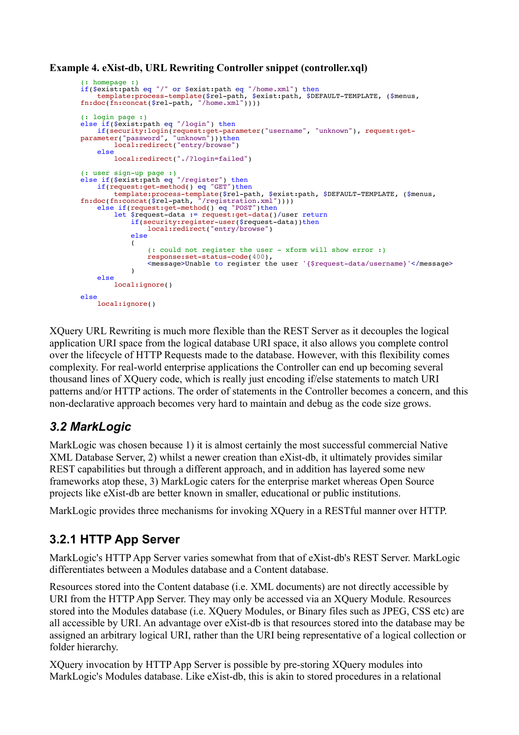```
Example 4. eXist-db, URL Rewriting Controller snippet (controller.xql)
```

```
(: homepage :)
if($exist:path eq "/" or $exist:path eq "/home.xml") then
 template:process-template($rel-path, $exist:path, $DEFAULT-TEMPLATE, ($menus,
fn:doc(fn:concat($rel-path, "/home.xml"))))
(: login page :)
else if($exist:path eq "/login") then
 if(security:login(request:get-parameter("username", "unknown"), request:get-
parameter("password", "unknown")))then
 local:redirect("entry/browse")
    else
        local:redirect("./?login=failed")
(: user sign-up page :)
else if($exist:path eq "/register") then
if(request:get-method() eq "GET")then
 template:process-template($rel-path, $exist:path, $DEFAULT-TEMPLATE, ($menus,
fn:doc(fn:concat($rel-path, "/registration.xml"))))
    else if(request:get-method() eq "POST")then
        let $request-data := request:get-data()/user return
           if(security:register-user($request-data))then
                local:redirect("entry/browse")
            else
\overline{\phantom{a}} (: could not register the user - xform will show error :)
                 response:set-status-code(400),
                <message>Unable to register the user '{$request-data/username}'</message>
 ) 
     else
         local:ignore()
else
     local:ignore()
```
XQuery URL Rewriting is much more flexible than the REST Server as it decouples the logical application URI space from the logical database URI space, it also allows you complete control over the lifecycle of HTTP Requests made to the database. However, with this flexibility comes complexity. For real-world enterprise applications the Controller can end up becoming several thousand lines of XQuery code, which is really just encoding if/else statements to match URI patterns and/or HTTP actions. The order of statements in the Controller becomes a concern, and this non-declarative approach becomes very hard to maintain and debug as the code size grows.

## *3.2 MarkLogic*

MarkLogic was chosen because 1) it is almost certainly the most successful commercial Native XML Database Server, 2) whilst a newer creation than eXist-db, it ultimately provides similar REST capabilities but through a different approach, and in addition has layered some new frameworks atop these, 3) MarkLogic caters for the enterprise market whereas Open Source projects like eXist-db are better known in smaller, educational or public institutions.

MarkLogic provides three mechanisms for invoking XQuery in a RESTful manner over HTTP.

## **3.2.1 HTTP App Server**

MarkLogic's HTTP App Server varies somewhat from that of eXist-db's REST Server. MarkLogic differentiates between a Modules database and a Content database.

Resources stored into the Content database (i.e. XML documents) are not directly accessible by URI from the HTTP App Server. They may only be accessed via an XQuery Module. Resources stored into the Modules database (i.e. XQuery Modules, or Binary files such as JPEG, CSS etc) are all accessible by URI. An advantage over eXist-db is that resources stored into the database may be assigned an arbitrary logical URI, rather than the URI being representative of a logical collection or folder hierarchy.

XQuery invocation by HTTP App Server is possible by pre-storing XQuery modules into MarkLogic's Modules database. Like eXist-db, this is akin to stored procedures in a relational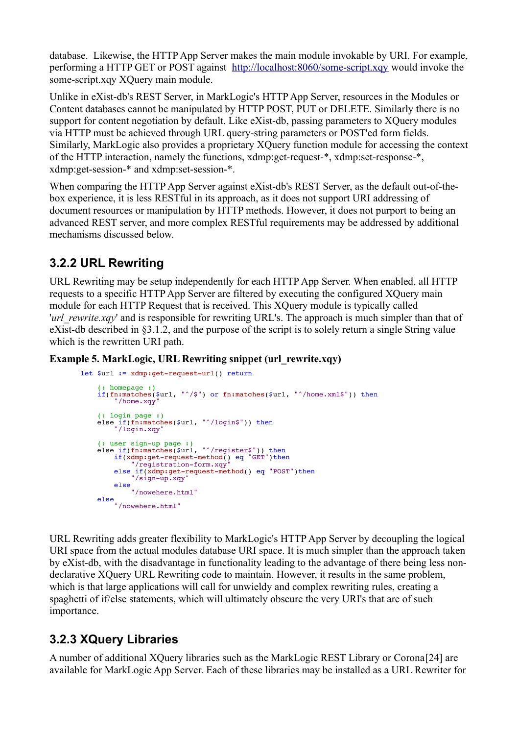database. Likewise, the HTTP App Server makes the main module invokable by URI. For example, performing a HTTP GET or POST against <http://localhost:8060/some-script.xqy>would invoke the some-script.xqy XQuery main module.

Unlike in eXist-db's REST Server, in MarkLogic's HTTP App Server, resources in the Modules or Content databases cannot be manipulated by HTTP POST, PUT or DELETE. Similarly there is no support for content negotiation by default. Like eXist-db, passing parameters to XQuery modules via HTTP must be achieved through URL query-string parameters or POST'ed form fields. Similarly, MarkLogic also provides a proprietary XQuery function module for accessing the context of the HTTP interaction, namely the functions, xdmp:get-request-\*, xdmp:set-response-\*, xdmp:get-session-\* and xdmp:set-session-\*.

When comparing the HTTP App Server against eXist-db's REST Server, as the default out-of-thebox experience, it is less RESTful in its approach, as it does not support URI addressing of document resources or manipulation by HTTP methods. However, it does not purport to being an advanced REST server, and more complex RESTful requirements may be addressed by additional mechanisms discussed below.

## **3.2.2 URL Rewriting**

URL Rewriting may be setup independently for each HTTP App Server. When enabled, all HTTP requests to a specific HTTP App Server are filtered by executing the configured XQuery main module for each HTTP Request that is received. This XQuery module is typically called *'url\_rewrite.xqy'* and is responsible for rewriting URL's. The approach is much simpler than that of eXist-db described in §3.1.2, and the purpose of the script is to solely return a single String value which is the rewritten URI path.

#### **Example 5. MarkLogic, URL Rewriting snippet (url\_rewrite.xqy)**

```
let $url := xdmp:get-request-url() return
 (: homepage :)
 if(fn:matches($url, "^/$") or fn:matches($url, "^/home.xml$")) then
        "/home.xqy"
 (: login page :)
 else if(fn:matches($url, "^/login$")) then
 "/login.xqy"
    (: user sign-up page :)
    else if(fn:matches($url, "^/register$")) then
       if(xdmp:get-request-method() eq "GET") then "/registration-form.xqy"
else if(xdmp:get-request-method() eq "POST")then
 "/sign-up.xqy"
        else
            "/nowehere.html"
 else
 "/nowehere.html"
```
URL Rewriting adds greater flexibility to MarkLogic's HTTP App Server by decoupling the logical URI space from the actual modules database URI space. It is much simpler than the approach taken by eXist-db, with the disadvantage in functionality leading to the advantage of there being less nondeclarative XQuery URL Rewriting code to maintain. However, it results in the same problem, which is that large applications will call for unwieldy and complex rewriting rules, creating a spaghetti of if/else statements, which will ultimately obscure the very URI's that are of such importance.

## **3.2.3 XQuery Libraries**

A number of additional XQuery libraries such as the MarkLogic REST Library or Corona[24] are available for MarkLogic App Server. Each of these libraries may be installed as a URL Rewriter for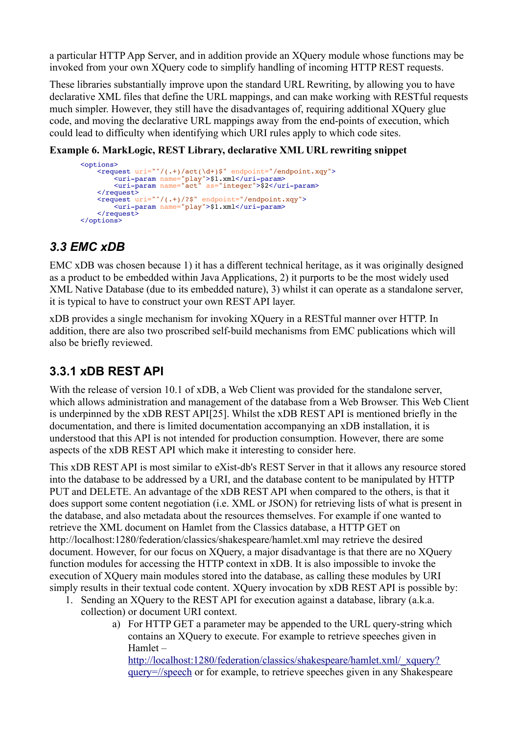a particular HTTP App Server, and in addition provide an XQuery module whose functions may be invoked from your own XQuery code to simplify handling of incoming HTTP REST requests.

These libraries substantially improve upon the standard URL Rewriting, by allowing you to have declarative XML files that define the URL mappings, and can make working with RESTful requests much simpler. However, they still have the disadvantages of, requiring additional XQuery glue code, and moving the declarative URL mappings away from the end-points of execution, which could lead to difficulty when identifying which URI rules apply to which code sites.

#### **Example 6. MarkLogic, REST Library, declarative XML URL rewriting snippet**

```
<options>
<request uri="^/(.+)/act(\d+)$" endpoint="/endpoint.xqy">
 <uri-param name="play">$1.xml</uri-param>
 <uri-param name="act" as="integer">$2</uri-param>
    \langle request> <request uri="^/(.+)/?$" endpoint="/endpoint.xqy">
         <uri-param name="play">$1.xml</uri-param>
    \langlerequest>
\leq / options>
```
### *3.3 EMC xDB*

EMC xDB was chosen because 1) it has a different technical heritage, as it was originally designed as a product to be embedded within Java Applications, 2) it purports to be the most widely used XML Native Database (due to its embedded nature), 3) whilst it can operate as a standalone server, it is typical to have to construct your own REST API layer.

xDB provides a single mechanism for invoking XQuery in a RESTful manner over HTTP. In addition, there are also two proscribed self-build mechanisms from EMC publications which will also be briefly reviewed.

### **3.3.1 xDB REST API**

With the release of version 10.1 of xDB, a Web Client was provided for the standalone server, which allows administration and management of the database from a Web Browser. This Web Client is underpinned by the xDB REST API[25]. Whilst the xDB REST API is mentioned briefly in the documentation, and there is limited documentation accompanying an xDB installation, it is understood that this API is not intended for production consumption. However, there are some aspects of the xDB REST API which make it interesting to consider here.

This xDB REST API is most similar to eXist-db's REST Server in that it allows any resource stored into the database to be addressed by a URI, and the database content to be manipulated by HTTP PUT and DELETE. An advantage of the xDB REST API when compared to the others, is that it does support some content negotiation (i.e. XML or JSON) for retrieving lists of what is present in the database, and also metadata about the resources themselves. For example if one wanted to retrieve the XML document on Hamlet from the Classics database, a HTTP GET on http://localhost:1280/federation/classics/shakespeare/hamlet.xml may retrieve the desired document. However, for our focus on XQuery, a major disadvantage is that there are no XQuery function modules for accessing the HTTP context in xDB. It is also impossible to invoke the execution of XQuery main modules stored into the database, as calling these modules by URI simply results in their textual code content. XOuery invocation by xDB REST API is possible by:

- 1. Sending an XQuery to the REST API for execution against a database, library (a.k.a. collection) or document URI context.
	- a) For HTTP GET a parameter may be appended to the URL query-string which contains an XQuery to execute. For example to retrieve speeches given in Hamlet –

[http://localhost:1280/federation/classics/shakespeare/hamlet.xml/\\_xquery?](http://localhost:1280/federation/classics/shakespeare/hamlet.xml?_xquery=//speech) [query=//speech](http://localhost:1280/federation/classics/shakespeare/hamlet.xml?_xquery=//speech) or for example, to retrieve speeches given in any Shakespeare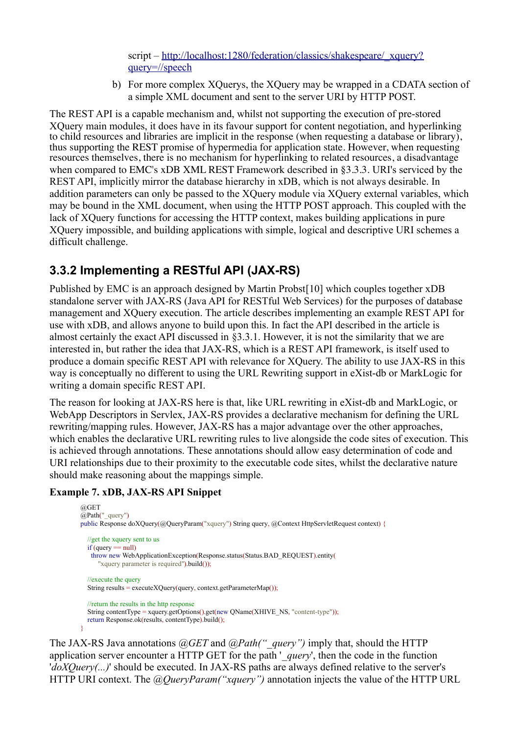script – [http://localhost:1280/federation/classics/shakespeare/\\_xquery?](http://localhost:8080/exist/rest/db/classics/shakespeare/?_query=//speech) [query=//speech](http://localhost:8080/exist/rest/db/classics/shakespeare/?_query=//speech)

b) For more complex XQuerys, the XQuery may be wrapped in a CDATA section of a simple XML document and sent to the server URI by HTTP POST.

The REST API is a capable mechanism and, whilst not supporting the execution of pre-stored XQuery main modules, it does have in its favour support for content negotiation, and hyperlinking to child resources and libraries are implicit in the response (when requesting a database or library), thus supporting the REST promise of hypermedia for application state. However, when requesting resources themselves, there is no mechanism for hyperlinking to related resources, a disadvantage when compared to EMC's xDB XML REST Framework described in §3.3.3. URI's serviced by the REST API, implicitly mirror the database hierarchy in xDB, which is not always desirable. In addition parameters can only be passed to the XQuery module via XQuery external variables, which may be bound in the XML document, when using the HTTP POST approach. This coupled with the lack of XQuery functions for accessing the HTTP context, makes building applications in pure XQuery impossible, and building applications with simple, logical and descriptive URI schemes a difficult challenge.

### **3.3.2 Implementing a RESTful API (JAX-RS)**

Published by EMC is an approach designed by Martin Probst[10] which couples together xDB standalone server with JAX-RS (Java API for RESTful Web Services) for the purposes of database management and XQuery execution. The article describes implementing an example REST API for use with xDB, and allows anyone to build upon this. In fact the API described in the article is almost certainly the exact API discussed in §3.3.1. However, it is not the similarity that we are interested in, but rather the idea that JAX-RS, which is a REST API framework, is itself used to produce a domain specific REST API with relevance for XQuery. The ability to use JAX-RS in this way is conceptually no different to using the URL Rewriting support in eXist-db or MarkLogic for writing a domain specific REST API.

The reason for looking at JAX-RS here is that, like URL rewriting in eXist-db and MarkLogic, or WebApp Descriptors in Servlex, JAX-RS provides a declarative mechanism for defining the URL rewriting/mapping rules. However, JAX-RS has a major advantage over the other approaches, which enables the declarative URL rewriting rules to live alongside the code sites of execution. This is achieved through annotations. These annotations should allow easy determination of code and URI relationships due to their proximity to the executable code sites, whilst the declarative nature should make reasoning about the mappings simple.

#### **Example 7. xDB, JAX-RS API Snippet**

```
@GET
@Path("quarev")public Response doXQuery(@QueryParam("xquery") String query, @Context HttpServletRequest context) {
   //get the xquery sent to us
  if (query == null)
    throw new WebApplicationException(Response.status(Status.BAD_REQUEST).entity(
       "xquery parameter is required").build());
   //execute the query
  String results = executeXQuery(query, context.getParameterMap());
   //return the results in the http response
  String contentType = xquery.getOptions() get(new OName(XHIVENS, "content-type")); return Response.ok(results, contentType).build();
}
```
The JAX-RS Java annotations *@GET* and *@Path("\_query")* imply that, should the HTTP application server encounter a HTTP GET for the path '*query*', then the code in the function '*doXQuery(...)*' should be executed. In JAX-RS paths are always defined relative to the server's HTTP URI context. The *@QueryParam("xquery")* annotation injects the value of the HTTP URL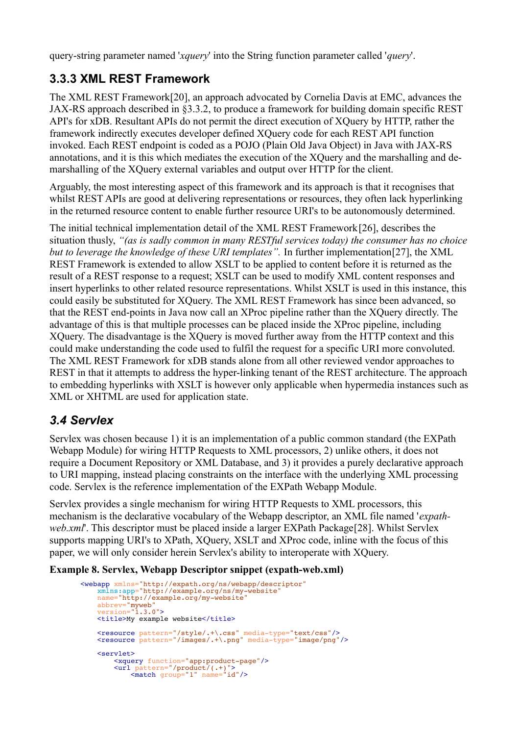query-string parameter named '*xquery*' into the String function parameter called '*query*'.

## **3.3.3 XML REST Framework**

The XML REST Framework[20], an approach advocated by Cornelia Davis at EMC, advances the JAX-RS approach described in §3.3.2, to produce a framework for building domain specific REST API's for xDB. Resultant APIs do not permit the direct execution of XQuery by HTTP, rather the framework indirectly executes developer defined XQuery code for each REST API function invoked. Each REST endpoint is coded as a POJO (Plain Old Java Object) in Java with JAX-RS annotations, and it is this which mediates the execution of the XQuery and the marshalling and demarshalling of the XQuery external variables and output over HTTP for the client.

Arguably, the most interesting aspect of this framework and its approach is that it recognises that whilst REST APIs are good at delivering representations or resources, they often lack hyperlinking in the returned resource content to enable further resource URI's to be autonomously determined.

The initial technical implementation detail of the XML REST Framework[26], describes the situation thusly, *"(as is sadly common in many RESTful services today) the consumer has no choice but to leverage the knowledge of these URI templates".* In further implementation[27], the XML REST Framework is extended to allow XSLT to be applied to content before it is returned as the result of a REST response to a request; XSLT can be used to modify XML content responses and insert hyperlinks to other related resource representations. Whilst XSLT is used in this instance, this could easily be substituted for XQuery. The XML REST Framework has since been advanced, so that the REST end-points in Java now call an XProc pipeline rather than the XQuery directly. The advantage of this is that multiple processes can be placed inside the XProc pipeline, including XQuery. The disadvantage is the XQuery is moved further away from the HTTP context and this could make understanding the code used to fulfil the request for a specific URI more convoluted. The XML REST Framework for xDB stands alone from all other reviewed vendor approaches to REST in that it attempts to address the hyper-linking tenant of the REST architecture. The approach to embedding hyperlinks with XSLT is however only applicable when hypermedia instances such as XML or XHTML are used for application state.

### *3.4 Servlex*

Servlex was chosen because 1) it is an implementation of a public common standard (the EXPath Webapp Module) for wiring HTTP Requests to XML processors, 2) unlike others, it does not require a Document Repository or XML Database, and 3) it provides a purely declarative approach to URI mapping, instead placing constraints on the interface with the underlying XML processing code. Servlex is the reference implementation of the EXPath Webapp Module.

Servlex provides a single mechanism for wiring HTTP Requests to XML processors, this mechanism is the declarative vocabulary of the Webapp descriptor, an XML file named '*expathweb.xml'*. This descriptor must be placed inside a larger EXPath Package<sup>[28]</sup>. Whilst Servlex supports mapping URI's to XPath, XQuery, XSLT and XProc code, inline with the focus of this paper, we will only consider herein Servlex's ability to interoperate with XQuery.

**Example 8. Servlex, Webapp Descriptor snippet (expath-web.xml)**

```
<webapp xmlns="http://expath.org/ns/webapp/descriptor"
   xmlns:app="http://example.org/ns/my-website
    name="http://example.org/my-website"
 abbrev="myweb"
 version="1.3.0">
   <title>My example website</title>
    <resource pattern="/style/.+\.css" media-type="text/css"/>
    <resource pattern="/images/.+\.png" media-type="image/png"/>
    <servlet>
 <xquery function="app:product-page"/>
 <url pattern="/product/(.+)">
 <match group="1" name="id"/>
```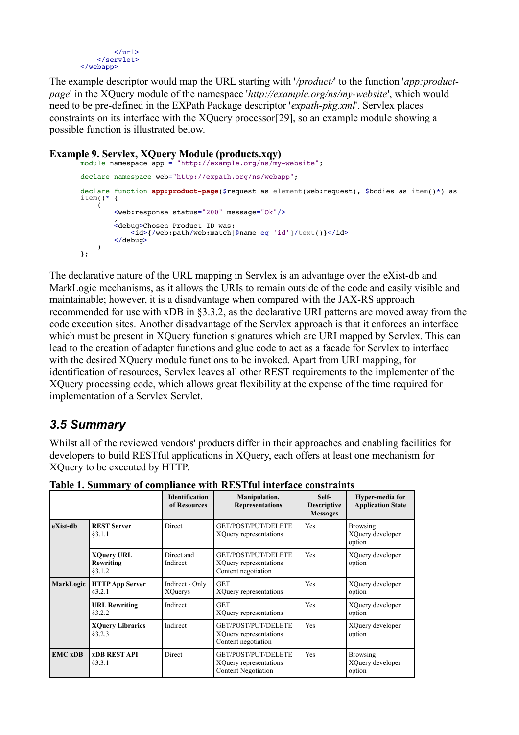

The example descriptor would map the URL starting with '*/product/*' to the function '*app:productpage*' in the XQuery module of the namespace '*http://example.org/ns/my-website*', which would need to be pre-defined in the EXPath Package descriptor '*expath-pkg.xml*'. Servlex places constraints on its interface with the XQuery processor[29], so an example module showing a possible function is illustrated below.

```
Example 9. Servlex, XQuery Module (products.xqy)
       module namespace app = "http://example.org/ns/my-website";
       declare namespace web="http://expath.org/ns/webapp";
       declare function app:product-page($request as element(web:request), $bodies as item()*) as
       item() * {
           \left( <web:response status="200" message="Ok"/>
        , where \mathcal{L} <debug>Chosen Product ID was:
                    <id>{/web:path/web:match[@name eq 'id']/text()}</id>
                 </debug> 
            )
       };
```
The declarative nature of the URL mapping in Servlex is an advantage over the eXist-db and MarkLogic mechanisms, as it allows the URIs to remain outside of the code and easily visible and maintainable; however, it is a disadvantage when compared with the JAX-RS approach recommended for use with xDB in §3.3.2, as the declarative URI patterns are moved away from the code execution sites. Another disadvantage of the Servlex approach is that it enforces an interface which must be present in XQuery function signatures which are URI mapped by Servlex. This can lead to the creation of adapter functions and glue code to act as a facade for Servlex to interface with the desired XQuery module functions to be invoked. Apart from URI mapping, for identification of resources, Servlex leaves all other REST requirements to the implementer of the XQuery processing code, which allows great flexibility at the expense of the time required for implementation of a Servlex Servlet.

### *3.5 Summary*

Whilst all of the reviewed vendors' products differ in their approaches and enabling facilities for developers to build RESTful applications in XQuery, each offers at least one mechanism for XQuery to be executed by HTTP.

| Table 1. Summary of compliance with RESTful interface constraints |                                       |                                                                             |                                                |                                               |  |  |  |
|-------------------------------------------------------------------|---------------------------------------|-----------------------------------------------------------------------------|------------------------------------------------|-----------------------------------------------|--|--|--|
|                                                                   | <b>Identification</b><br>of Resources | Manipulation,<br><b>Representations</b>                                     | Self-<br><b>Descriptive</b><br><b>Messages</b> | Hyper-media for<br><b>Application State</b>   |  |  |  |
| <b>REST Server</b><br>§3.1.1                                      | Direct                                | GET/POST/PUT/DELETE<br>XQuery representations                               | Yes                                            | <b>Browsing</b><br>XQuery developer<br>option |  |  |  |
| <b>XQuery URL</b><br>Rewriting<br>83.1.2                          | Direct and<br>Indirect                | GET/POST/PUT/DELETE<br>XQuery representations<br>Content negotiation        | <b>Yes</b>                                     | XQuery developer<br>option                    |  |  |  |
| <b>HTTP App Server</b><br>§3.2.1                                  | Indirect - Only<br><b>XQuerys</b>     | <b>GET</b><br>XQuery representations                                        | Yes                                            | XQuery developer<br>option                    |  |  |  |
| <b>URL Rewriting</b><br>83.2.2                                    | Indirect                              | <b>GET</b><br>XQuery representations                                        | Yes                                            | XQuery developer<br>option                    |  |  |  |
| <b>XQuery Libraries</b><br>§3.2.3                                 | Indirect                              | GET/POST/PUT/DELETE<br>XQuery representations<br>Content negotiation        | Yes                                            | XQuery developer<br>option                    |  |  |  |
| <b>xDB REST API</b><br>§3.3.1                                     | Direct                                | GET/POST/PUT/DELETE<br>XQuery representations<br><b>Content Negotiation</b> | Yes                                            | <b>Browsing</b><br>XQuery developer<br>option |  |  |  |
|                                                                   | <b>MarkLogic</b>                      |                                                                             |                                                |                                               |  |  |  |

**Table 1. Summary of compliance with RESTful interface constraints**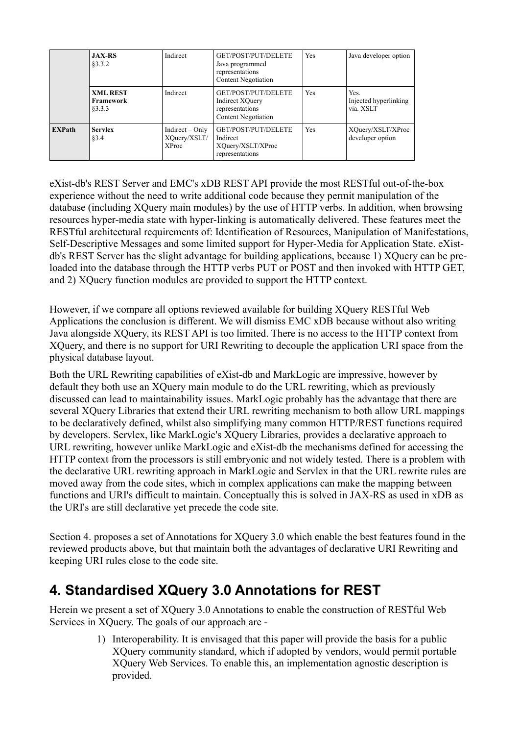|               | <b>JAX-RS</b><br>83.3.2                | Indirect                                          | GET/POST/PUT/DELETE<br>Java programmed<br>representations<br><b>Content Negotiation</b> | Yes | Java developer option                      |
|---------------|----------------------------------------|---------------------------------------------------|-----------------------------------------------------------------------------------------|-----|--------------------------------------------|
|               | <b>XML REST</b><br>Framework<br>83.3.3 | Indirect                                          | GET/POST/PUT/DELETE<br>Indirect XQuery<br>representations<br><b>Content Negotiation</b> | Yes | Yes.<br>Injected hyperlinking<br>via. XSLT |
| <b>EXPath</b> | <b>Servlex</b><br>§3.4                 | Indirect $-$ Only<br>XQuery/XSLT/<br><b>XProc</b> | GET/POST/PUT/DELETE<br>Indirect<br>XQuery/XSLT/XProc<br>representations                 | Yes | XQuery/XSLT/XProc<br>developer option      |

eXist-db's REST Server and EMC's xDB REST API provide the most RESTful out-of-the-box experience without the need to write additional code because they permit manipulation of the database (including XQuery main modules) by the use of HTTP verbs. In addition, when browsing resources hyper-media state with hyper-linking is automatically delivered. These features meet the RESTful architectural requirements of: Identification of Resources, Manipulation of Manifestations, Self-Descriptive Messages and some limited support for Hyper-Media for Application State. eXistdb's REST Server has the slight advantage for building applications, because 1) XQuery can be preloaded into the database through the HTTP verbs PUT or POST and then invoked with HTTP GET, and 2) XQuery function modules are provided to support the HTTP context.

However, if we compare all options reviewed available for building XQuery RESTful Web Applications the conclusion is different. We will dismiss EMC xDB because without also writing Java alongside XQuery, its REST API is too limited. There is no access to the HTTP context from XQuery, and there is no support for URI Rewriting to decouple the application URI space from the physical database layout.

Both the URL Rewriting capabilities of eXist-db and MarkLogic are impressive, however by default they both use an XQuery main module to do the URL rewriting, which as previously discussed can lead to maintainability issues. MarkLogic probably has the advantage that there are several XQuery Libraries that extend their URL rewriting mechanism to both allow URL mappings to be declaratively defined, whilst also simplifying many common HTTP/REST functions required by developers. Servlex, like MarkLogic's XQuery Libraries, provides a declarative approach to URL rewriting, however unlike MarkLogic and eXist-db the mechanisms defined for accessing the HTTP context from the processors is still embryonic and not widely tested. There is a problem with the declarative URL rewriting approach in MarkLogic and Servlex in that the URL rewrite rules are moved away from the code sites, which in complex applications can make the mapping between functions and URI's difficult to maintain. Conceptually this is solved in JAX-RS as used in xDB as the URI's are still declarative yet precede the code site.

Section 4. proposes a set of Annotations for XQuery 3.0 which enable the best features found in the reviewed products above, but that maintain both the advantages of declarative URI Rewriting and keeping URI rules close to the code site.

## **4. Standardised XQuery 3.0 Annotations for REST**

Herein we present a set of XQuery 3.0 Annotations to enable the construction of RESTful Web Services in XQuery. The goals of our approach are -

> 1) Interoperability. It is envisaged that this paper will provide the basis for a public XQuery community standard, which if adopted by vendors, would permit portable XQuery Web Services. To enable this, an implementation agnostic description is provided.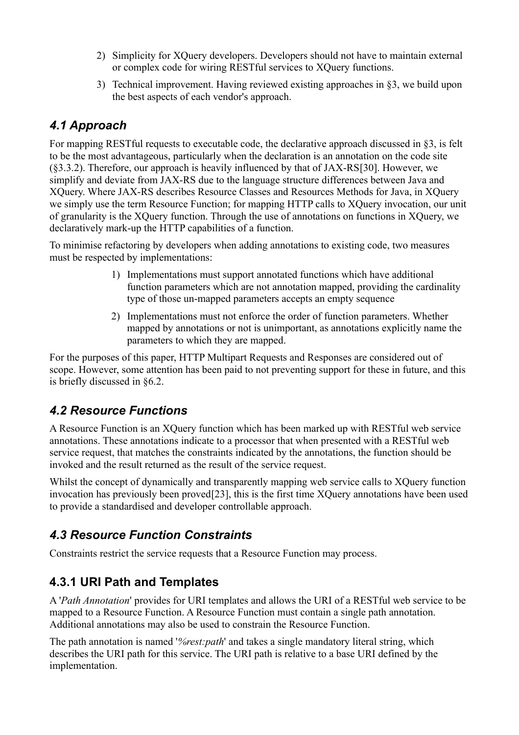- 2) Simplicity for XQuery developers. Developers should not have to maintain external or complex code for wiring RESTful services to XQuery functions.
- 3) Technical improvement. Having reviewed existing approaches in §3, we build upon the best aspects of each vendor's approach.

## *4.1 Approach*

For mapping RESTful requests to executable code, the declarative approach discussed in §3, is felt to be the most advantageous, particularly when the declaration is an annotation on the code site (§3.3.2). Therefore, our approach is heavily influenced by that of JAX-RS[30]. However, we simplify and deviate from JAX-RS due to the language structure differences between Java and XQuery. Where JAX-RS describes Resource Classes and Resources Methods for Java, in XQuery we simply use the term Resource Function; for mapping HTTP calls to XQuery invocation, our unit of granularity is the XQuery function. Through the use of annotations on functions in XQuery, we declaratively mark-up the HTTP capabilities of a function.

To minimise refactoring by developers when adding annotations to existing code, two measures must be respected by implementations:

- 1) Implementations must support annotated functions which have additional function parameters which are not annotation mapped, providing the cardinality type of those un-mapped parameters accepts an empty sequence
- 2) Implementations must not enforce the order of function parameters. Whether mapped by annotations or not is unimportant, as annotations explicitly name the parameters to which they are mapped.

For the purposes of this paper, HTTP Multipart Requests and Responses are considered out of scope. However, some attention has been paid to not preventing support for these in future, and this is briefly discussed in §6.2.

### *4.2 Resource Functions*

A Resource Function is an XQuery function which has been marked up with RESTful web service annotations. These annotations indicate to a processor that when presented with a RESTful web service request, that matches the constraints indicated by the annotations, the function should be invoked and the result returned as the result of the service request.

Whilst the concept of dynamically and transparently mapping web service calls to XOuery function invocation has previously been proved[23], this is the first time XQuery annotations have been used to provide a standardised and developer controllable approach.

## *4.3 Resource Function Constraints*

Constraints restrict the service requests that a Resource Function may process.

## **4.3.1 URI Path and Templates**

A '*Path Annotation*' provides for URI templates and allows the URI of a RESTful web service to be mapped to a Resource Function. A Resource Function must contain a single path annotation. Additional annotations may also be used to constrain the Resource Function.

The path annotation is named '*%rest:path*' and takes a single mandatory literal string, which describes the URI path for this service. The URI path is relative to a base URI defined by the implementation.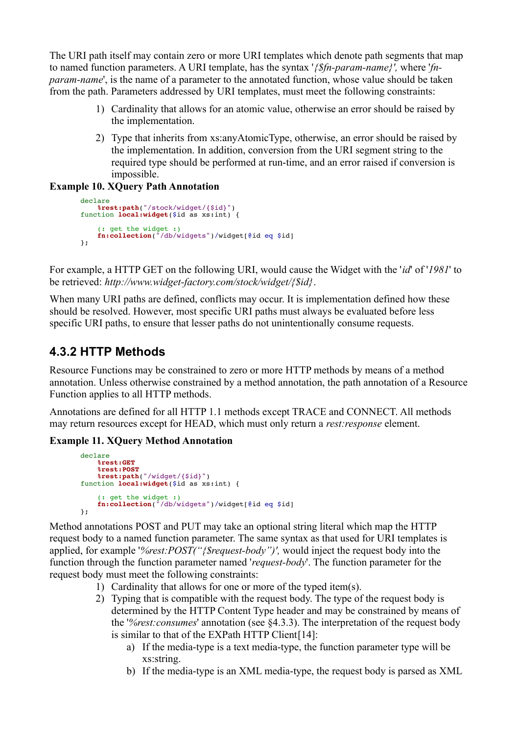The URI path itself may contain zero or more URI templates which denote path segments that map to named function parameters. A URI template, has the syntax '*{\$fn-param-name}',* where '*fnparam-name*', is the name of a parameter to the annotated function, whose value should be taken from the path. Parameters addressed by URI templates, must meet the following constraints:

- 1) Cardinality that allows for an atomic value, otherwise an error should be raised by the implementation.
- 2) Type that inherits from xs:anyAtomicType, otherwise, an error should be raised by the implementation. In addition, conversion from the URI segment string to the required type should be performed at run-time, and an error raised if conversion is impossible.

```
Example 10. XQuery Path Annotation
```

```
declare
     %rest:path("/stock/widget/{$id}")
function local:widget($id as xs:int) {
 (: get the widget :)
 fn:collection("/db/widgets")/widget[@id eq $id]
};
```
For example, a HTTP GET on the following URI, would cause the Widget with the '*id*' of '*1981*' to be retrieved: *http://www.widget-factory.com/stock/widget/{\$id}*.

When many URI paths are defined, conflicts may occur. It is implementation defined how these should be resolved. However, most specific URI paths must always be evaluated before less specific URI paths, to ensure that lesser paths do not unintentionally consume requests.

## **4.3.2 HTTP Methods**

Resource Functions may be constrained to zero or more HTTP methods by means of a method annotation. Unless otherwise constrained by a method annotation, the path annotation of a Resource Function applies to all HTTP methods.

Annotations are defined for all HTTP 1.1 methods except TRACE and CONNECT. All methods may return resources except for HEAD, which must only return a *rest:response* element.

#### **Example 11. XQuery Method Annotation**

```
declare
     %rest:GET
     %rest:POST
 %rest:path("/widget/{$id}")
function local:widget($id as xs:int) {
 (: get the widget :)
 fn:collection("/db/widgets")/widget[@id eq $id]
};
```
Method annotations POST and PUT may take an optional string literal which map the HTTP request body to a named function parameter. The same syntax as that used for URI templates is applied, for example '*%rest:POST("{\$request-body")',* would inject the request body into the function through the function parameter named '*request-body*'. The function parameter for the request body must meet the following constraints:

- 1) Cardinality that allows for one or more of the typed item(s).
- 2) Typing that is compatible with the request body. The type of the request body is determined by the HTTP Content Type header and may be constrained by means of the '*%rest:consumes*' annotation (see §4.3.3). The interpretation of the request body is similar to that of the EXPath HTTP Client[14]:
	- a) If the media-type is a text media-type, the function parameter type will be xs:string.
	- b) If the media-type is an XML media-type, the request body is parsed as XML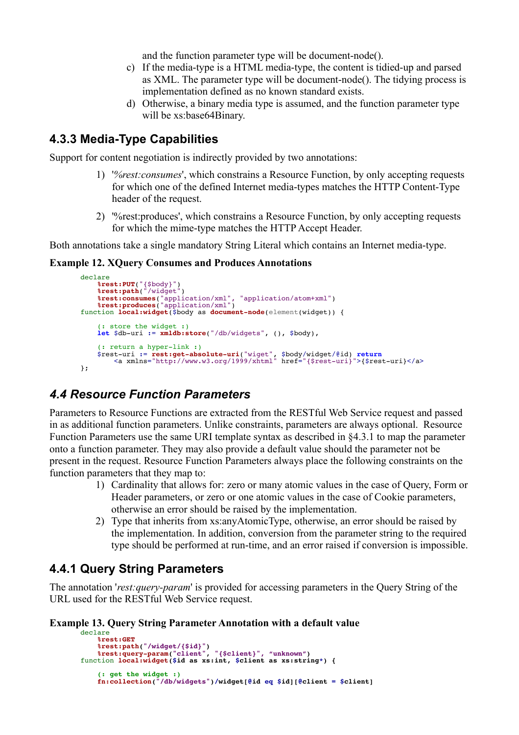and the function parameter type will be document-node().

- c) If the media-type is a HTML media-type, the content is tidied-up and parsed as XML. The parameter type will be document-node(). The tidying process is implementation defined as no known standard exists.
- d) Otherwise, a binary media type is assumed, and the function parameter type will be xs:base64Binary.

### **4.3.3 Media-Type Capabilities**

Support for content negotiation is indirectly provided by two annotations:

- 1) '*%rest:consumes*', which constrains a Resource Function, by only accepting requests for which one of the defined Internet media-types matches the HTTP Content-Type header of the request.
- 2) '%rest:produces', which constrains a Resource Function, by only accepting requests for which the mime-type matches the HTTP Accept Header.

Both annotations take a single mandatory String Literal which contains an Internet media-type.

#### **Example 12. XQuery Consumes and Produces Annotations**

```
declare
 %rest:PUT("{$body}")
 %rest:path("/widget")
 %rest:consumes("application/xml", "application/atom+xml")
 %rest:produces("application/xml")
function local:widget($body as document-node(element(widget)) {
 (: store the widget :)
 let $db-uri := xmldb:store("/db/widgets", (), $body),
     (: return a hyper-link :)
 $rest-uri := rest:get-absolute-uri("wiget", $body/widget/@id) return
 <a xmlns="http://www.w3.org/1999/xhtml" href="{$rest-uri}">{$rest-uri}</a>
};
```
### *4.4 Resource Function Parameters*

Parameters to Resource Functions are extracted from the RESTful Web Service request and passed in as additional function parameters. Unlike constraints, parameters are always optional. Resource Function Parameters use the same URI template syntax as described in §4.3.1 to map the parameter onto a function parameter. They may also provide a default value should the parameter not be present in the request. Resource Function Parameters always place the following constraints on the function parameters that they map to:

- 1) Cardinality that allows for: zero or many atomic values in the case of Query, Form or Header parameters, or zero or one atomic values in the case of Cookie parameters, otherwise an error should be raised by the implementation.
- 2) Type that inherits from xs:anyAtomicType, otherwise, an error should be raised by the implementation. In addition, conversion from the parameter string to the required type should be performed at run-time, and an error raised if conversion is impossible.

#### **4.4.1 Query String Parameters**

The annotation '*rest:query-param*' is provided for accessing parameters in the Query String of the URL used for the RESTful Web Service request.

#### **Example 13. Query String Parameter Annotation with a default value**

```
declare
     %rest:GET
     %rest:path("/widget/{$id}")
 %rest:query-param("client", "{$client}", "unknown")
function local:widget($id as xs:int, $client as xs:string*) {
 (: get the widget :)
 fn:collection("/db/widgets")/widget[@id eq $id][@client = $client]
```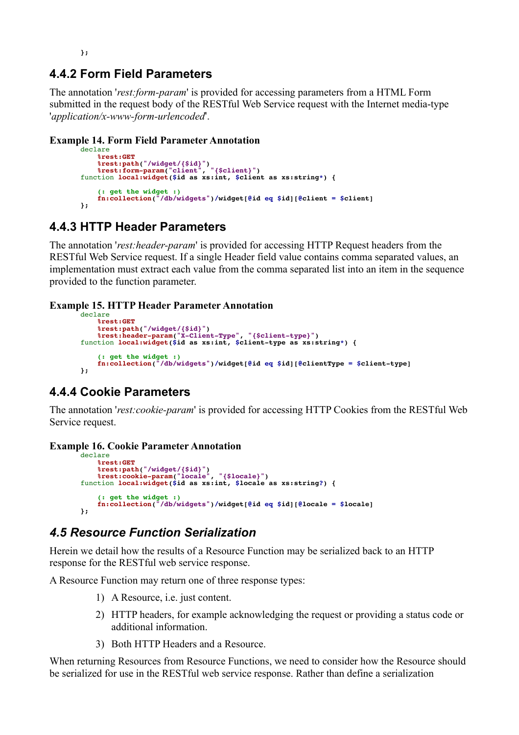**};**

#### **4.4.2 Form Field Parameters**

The annotation '*rest:form-param*' is provided for accessing parameters from a HTML Form submitted in the request body of the RESTful Web Service request with the Internet media-type '*application/x-www-form-urlencoded*'.

#### **Example 14. Form Field Parameter Annotation**

```
declare
     %rest:GET
 %rest:path("/widget/{$id}")
 %rest:form-param("client", "{$client}")
function local:widget($id as xs:int, $client as xs:string*) {
     (: get the widget :)
     fn:collection("/db/widgets")/widget[@id eq $id][@client = $client]
};
```
### **4.4.3 HTTP Header Parameters**

The annotation '*rest:header-param*' is provided for accessing HTTP Request headers from the RESTful Web Service request. If a single Header field value contains comma separated values, an implementation must extract each value from the comma separated list into an item in the sequence provided to the function parameter.

#### **Example 15. HTTP Header Parameter Annotation**

```
declare
     %rest:GET
     %rest:path("/widget/{$id}")
     %rest:header-param("X-Client-Type", "{$client-type}")
function local:widget($id as xs:int, $client-type as xs:string*) {
 (: get the widget :)
 fn:collection("/db/widgets")/widget[@id eq $id][@clientType = $client-type]
};
```
### **4.4.4 Cookie Parameters**

The annotation '*rest:cookie-param*' is provided for accessing HTTP Cookies from the RESTful Web Service request.

#### **Example 16. Cookie Parameter Annotation**

```
declare
     %rest:GET
 %rest:path("/widget/{$id}")
 %rest:cookie-param("locale", "{$locale}")
function local:widget($id as xs:int, $locale as xs:string?) {
     (: get the widget :)
     fn:collection("/db/widgets")/widget[@id eq $id][@locale = $locale]
};
```
### *4.5 Resource Function Serialization*

Herein we detail how the results of a Resource Function may be serialized back to an HTTP response for the RESTful web service response.

A Resource Function may return one of three response types:

- 1) A Resource, i.e. just content.
- 2) HTTP headers, for example acknowledging the request or providing a status code or additional information.
- 3) Both HTTP Headers and a Resource.

When returning Resources from Resource Functions, we need to consider how the Resource should be serialized for use in the RESTful web service response. Rather than define a serialization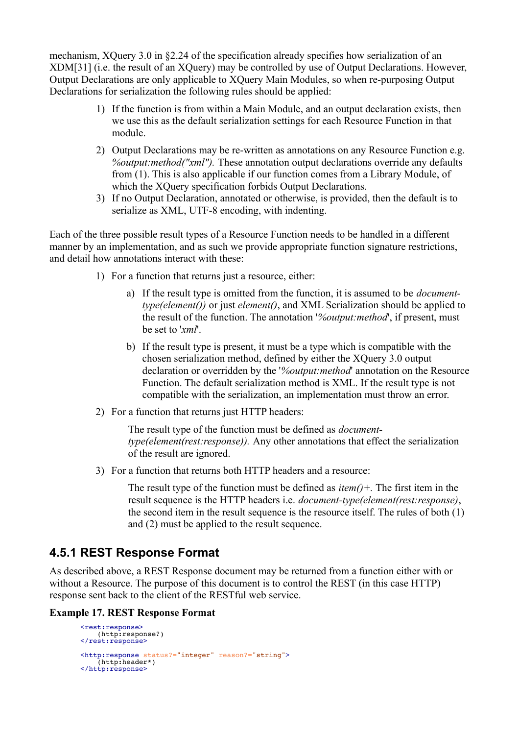mechanism, XQuery 3.0 in §2.24 of the specification already specifies how serialization of an XDM[31] (i.e. the result of an XQuery) may be controlled by use of Output Declarations. However, Output Declarations are only applicable to XQuery Main Modules, so when re-purposing Output Declarations for serialization the following rules should be applied:

- 1) If the function is from within a Main Module, and an output declaration exists, then we use this as the default serialization settings for each Resource Function in that module.
- 2) Output Declarations may be re-written as annotations on any Resource Function e.g. *%output:method("xml").* These annotation output declarations override any defaults from (1). This is also applicable if our function comes from a Library Module, of which the XQuery specification forbids Output Declarations.
- 3) If no Output Declaration, annotated or otherwise, is provided, then the default is to serialize as XML, UTF-8 encoding, with indenting.

Each of the three possible result types of a Resource Function needs to be handled in a different manner by an implementation, and as such we provide appropriate function signature restrictions, and detail how annotations interact with these:

- 1) For a function that returns just a resource, either:
	- a) If the result type is omitted from the function, it is assumed to be *documenttype(element())* or just *element()*, and XML Serialization should be applied to the result of the function. The annotation '*%output:method*', if present, must be set to '*xml*'.
	- b) If the result type is present, it must be a type which is compatible with the chosen serialization method, defined by either the XQuery 3.0 output declaration or overridden by the '*%output:method*' annotation on the Resource Function. The default serialization method is XML. If the result type is not compatible with the serialization, an implementation must throw an error.
- 2) For a function that returns just HTTP headers:

The result type of the function must be defined as *documenttype(element(rest:response)).* Any other annotations that effect the serialization of the result are ignored.

3) For a function that returns both HTTP headers and a resource:

The result type of the function must be defined as *item()+.* The first item in the result sequence is the HTTP headers i.e. *document-type(element(rest:response)*, the second item in the result sequence is the resource itself. The rules of both (1) and (2) must be applied to the result sequence.

### **4.5.1 REST Response Format**

As described above, a REST Response document may be returned from a function either with or without a Resource. The purpose of this document is to control the REST (in this case HTTP) response sent back to the client of the RESTful web service.

#### **Example 17. REST Response Format**

```
<rest:response>
     (http:response?)
</rest:response>
<http:response status?="integer" reason?="string">
    thttp:header*)
</http:response>
```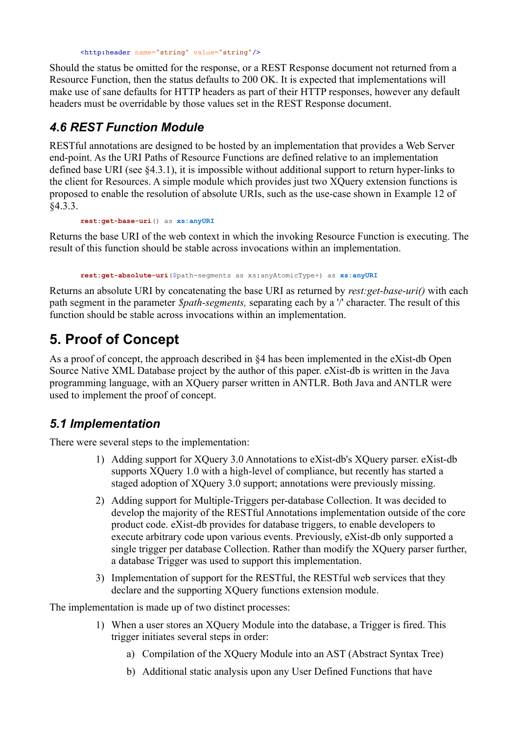<http:header name="string" value="string"/>

Should the status be omitted for the response, or a REST Response document not returned from a Resource Function, then the status defaults to 200 OK. It is expected that implementations will make use of sane defaults for HTTP headers as part of their HTTP responses, however any default headers must be overridable by those values set in the REST Response document.

## *4.6 REST Function Module*

RESTful annotations are designed to be hosted by an implementation that provides a Web Server end-point. As the URI Paths of Resource Functions are defined relative to an implementation defined base URI (see §4.3.1), it is impossible without additional support to return hyper-links to the client for Resources. A simple module which provides just two XQuery extension functions is proposed to enable the resolution of absolute URIs, such as the use-case shown in Example 12 of §4.3.3.

**rest:get-base-uri**() as **xs:anyURI**

Returns the base URI of the web context in which the invoking Resource Function is executing. The result of this function should be stable across invocations within an implementation.

**rest:get-absolute-uri**(\$path-segments as xs:anyAtomicType+) as **xs:anyURI**

Returns an absolute URI by concatenating the base URI as returned by *rest:get-base-uri()* with each path segment in the parameter *\$path-segments,* separating each by a '/' character. The result of this function should be stable across invocations within an implementation.

# **5. Proof of Concept**

As a proof of concept, the approach described in  $\delta$ 4 has been implemented in the eXist-db Open Source Native XML Database project by the author of this paper. eXist-db is written in the Java programming language, with an XQuery parser written in ANTLR. Both Java and ANTLR were used to implement the proof of concept.

### *5.1 Implementation*

There were several steps to the implementation:

- 1) Adding support for XQuery 3.0 Annotations to eXist-db's XQuery parser. eXist-db supports XQuery 1.0 with a high-level of compliance, but recently has started a staged adoption of XQuery 3.0 support; annotations were previously missing.
- 2) Adding support for Multiple-Triggers per-database Collection. It was decided to develop the majority of the RESTful Annotations implementation outside of the core product code. eXist-db provides for database triggers, to enable developers to execute arbitrary code upon various events. Previously, eXist-db only supported a single trigger per database Collection. Rather than modify the XQuery parser further, a database Trigger was used to support this implementation.
- 3) Implementation of support for the RESTful, the RESTful web services that they declare and the supporting XQuery functions extension module.

The implementation is made up of two distinct processes:

- 1) When a user stores an XQuery Module into the database, a Trigger is fired. This trigger initiates several steps in order:
	- a) Compilation of the XQuery Module into an AST (Abstract Syntax Tree)
	- b) Additional static analysis upon any User Defined Functions that have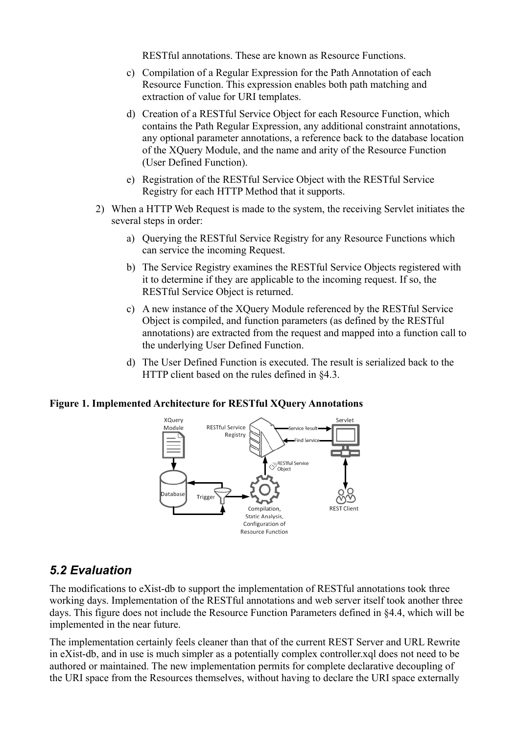RESTful annotations. These are known as Resource Functions.

- c) Compilation of a Regular Expression for the Path Annotation of each Resource Function. This expression enables both path matching and extraction of value for URI templates.
- d) Creation of a RESTful Service Object for each Resource Function, which contains the Path Regular Expression, any additional constraint annotations, any optional parameter annotations, a reference back to the database location of the XQuery Module, and the name and arity of the Resource Function (User Defined Function).
- e) Registration of the RESTful Service Object with the RESTful Service Registry for each HTTP Method that it supports.
- 2) When a HTTP Web Request is made to the system, the receiving Servlet initiates the several steps in order:
	- a) Querying the RESTful Service Registry for any Resource Functions which can service the incoming Request.
	- b) The Service Registry examines the RESTful Service Objects registered with it to determine if they are applicable to the incoming request. If so, the RESTful Service Object is returned.
	- c) A new instance of the XQuery Module referenced by the RESTful Service Object is compiled, and function parameters (as defined by the RESTful annotations) are extracted from the request and mapped into a function call to the underlying User Defined Function.
	- d) The User Defined Function is executed. The result is serialized back to the HTTP client based on the rules defined in §4.3.

#### **Figure 1. Implemented Architecture for RESTful XQuery Annotations**



#### *5.2 Evaluation*

The modifications to eXist-db to support the implementation of RESTful annotations took three working days. Implementation of the RESTful annotations and web server itself took another three days. This figure does not include the Resource Function Parameters defined in §4.4, which will be implemented in the near future.

The implementation certainly feels cleaner than that of the current REST Server and URL Rewrite in eXist-db, and in use is much simpler as a potentially complex controller.xql does not need to be authored or maintained. The new implementation permits for complete declarative decoupling of the URI space from the Resources themselves, without having to declare the URI space externally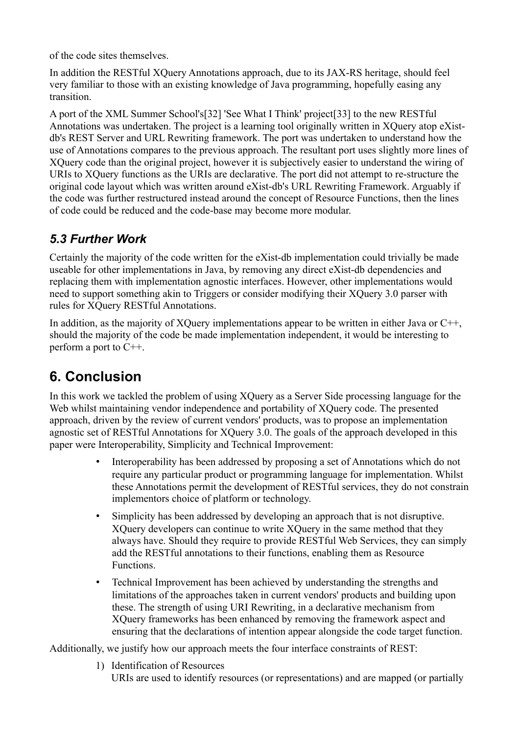of the code sites themselves.

In addition the RESTful XQuery Annotations approach, due to its JAX-RS heritage, should feel very familiar to those with an existing knowledge of Java programming, hopefully easing any transition.

A port of the XML Summer School's[32] 'See What I Think' project[33] to the new RESTful Annotations was undertaken. The project is a learning tool originally written in XQuery atop eXistdb's REST Server and URL Rewriting framework. The port was undertaken to understand how the use of Annotations compares to the previous approach. The resultant port uses slightly more lines of XQuery code than the original project, however it is subjectively easier to understand the wiring of URIs to XQuery functions as the URIs are declarative. The port did not attempt to re-structure the original code layout which was written around eXist-db's URL Rewriting Framework. Arguably if the code was further restructured instead around the concept of Resource Functions, then the lines of code could be reduced and the code-base may become more modular.

## *5.3 Further Work*

Certainly the majority of the code written for the eXist-db implementation could trivially be made useable for other implementations in Java, by removing any direct eXist-db dependencies and replacing them with implementation agnostic interfaces. However, other implementations would need to support something akin to Triggers or consider modifying their XQuery 3.0 parser with rules for XQuery RESTful Annotations.

In addition, as the majority of XQuery implementations appear to be written in either Java or C++, should the majority of the code be made implementation independent, it would be interesting to perform a port to C++.

# **6. Conclusion**

In this work we tackled the problem of using XQuery as a Server Side processing language for the Web whilst maintaining vendor independence and portability of XQuery code. The presented approach, driven by the review of current vendors' products, was to propose an implementation agnostic set of RESTful Annotations for XQuery 3.0. The goals of the approach developed in this paper were Interoperability, Simplicity and Technical Improvement:

- Interoperability has been addressed by proposing a set of Annotations which do not require any particular product or programming language for implementation. Whilst these Annotations permit the development of RESTful services, they do not constrain implementors choice of platform or technology.
- Simplicity has been addressed by developing an approach that is not disruptive. XQuery developers can continue to write XQuery in the same method that they always have. Should they require to provide RESTful Web Services, they can simply add the RESTful annotations to their functions, enabling them as Resource Functions.
- Technical Improvement has been achieved by understanding the strengths and limitations of the approaches taken in current vendors' products and building upon these. The strength of using URI Rewriting, in a declarative mechanism from XQuery frameworks has been enhanced by removing the framework aspect and ensuring that the declarations of intention appear alongside the code target function.

Additionally, we justify how our approach meets the four interface constraints of REST:

1) Identification of Resources URIs are used to identify resources (or representations) and are mapped (or partially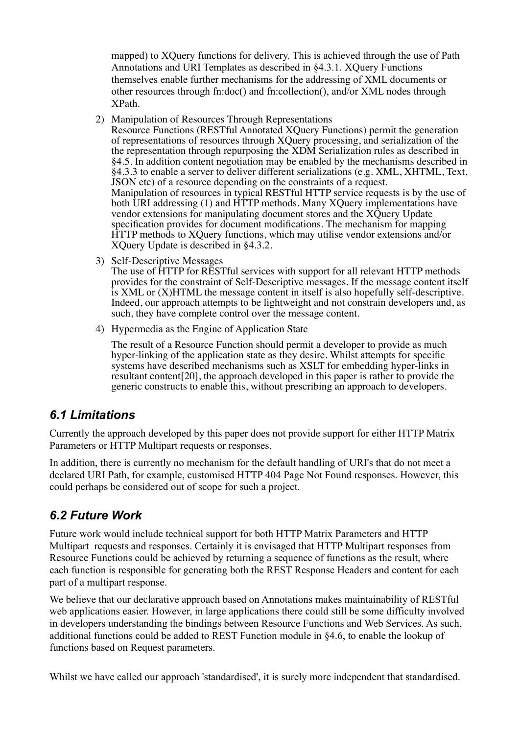mapped) to XQuery functions for delivery. This is achieved through the use of Path Annotations and URI Templates as described in §4.3.1. XQuery Functions themselves enable further mechanisms for the addressing of XML documents or other resources through fn:doc() and fn:collection(), and/or XML nodes through XPath.

- 2) Manipulation of Resources Through Representations
- Resource Functions (RESTful Annotated XQuery Functions) permit the generation of representations of resources through XQuery processing, and serialization of the the representation through repurposing the XDM Serialization rules as described in §4.5. In addition content negotiation may be enabled by the mechanisms described in §4.3.3 to enable a server to deliver different serializations (e.g. XML, XHTML, Text, JSON etc) of a resource depending on the constraints of a request. Manipulation of resources in typical RESTful HTTP service requests is by the use of both URI addressing (1) and HTTP methods. Many XQuery implementations have vendor extensions for manipulating document stores and the XQuery Update specification provides for document modifications. The mechanism for mapping HTTP methods to XQuery functions, which may utilise vendor extensions and/or XQuery Update is described in §4.3.2.
- 3) Self-Descriptive Messages

The use of HTTP for RESTful services with support for all relevant HTTP methods provides for the constraint of Self-Descriptive messages. If the message content itself is XML or (X)HTML the message content in itself is also hopefully self-descriptive. Indeed, our approach attempts to be lightweight and not constrain developers and, as such, they have complete control over the message content.

4) Hypermedia as the Engine of Application State

The result of a Resource Function should permit a developer to provide as much hyper-linking of the application state as they desire. Whilst attempts for specific systems have described mechanisms such as XSLT for embedding hyper-links in resultant content[20], the approach developed in this paper is rather to provide the generic constructs to enable this, without prescribing an approach to developers.

### *6.1 Limitations*

Currently the approach developed by this paper does not provide support for either HTTP Matrix Parameters or HTTP Multipart requests or responses.

In addition, there is currently no mechanism for the default handling of URI's that do not meet a declared URI Path, for example, customised HTTP 404 Page Not Found responses. However, this could perhaps be considered out of scope for such a project.

### *6.2 Future Work*

Future work would include technical support for both HTTP Matrix Parameters and HTTP Multipart requests and responses. Certainly it is envisaged that HTTP Multipart responses from Resource Functions could be achieved by returning a sequence of functions as the result, where each function is responsible for generating both the REST Response Headers and content for each part of a multipart response.

We believe that our declarative approach based on Annotations makes maintainability of RESTful web applications easier. However, in large applications there could still be some difficulty involved in developers understanding the bindings between Resource Functions and Web Services. As such, additional functions could be added to REST Function module in §4.6, to enable the lookup of functions based on Request parameters.

Whilst we have called our approach 'standardised', it is surely more independent that standardised.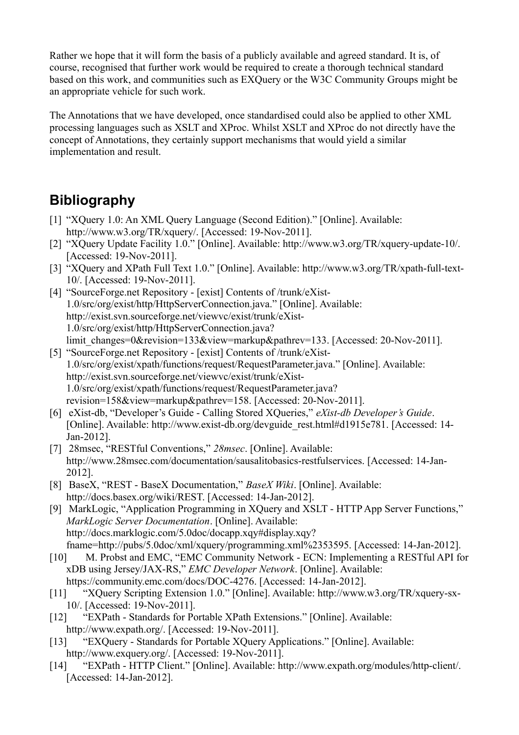Rather we hope that it will form the basis of a publicly available and agreed standard. It is, of course, recognised that further work would be required to create a thorough technical standard based on this work, and communities such as EXQuery or the W3C Community Groups might be an appropriate vehicle for such work.

The Annotations that we have developed, once standardised could also be applied to other XML processing languages such as XSLT and XProc. Whilst XSLT and XProc do not directly have the concept of Annotations, they certainly support mechanisms that would yield a similar implementation and result.

# **Bibliography**

- [1] "XQuery 1.0: An XML Query Language (Second Edition)." [Online]. Available: http://www.w3.org/TR/xquery/. [Accessed: 19-Nov-2011].
- [2] "XQuery Update Facility 1.0." [Online]. Available: http://www.w3.org/TR/xquery-update-10/. [Accessed: 19-Nov-2011].
- [3] "XQuery and XPath Full Text 1.0." [Online]. Available: http://www.w3.org/TR/xpath-full-text-10/. [Accessed: 19-Nov-2011].
- [4] "SourceForge.net Repository [exist] Contents of /trunk/eXist-1.0/src/org/exist/http/HttpServerConnection.java." [Online]. Available: http://exist.svn.sourceforge.net/viewvc/exist/trunk/eXist-1.0/src/org/exist/http/HttpServerConnection.java? limit\_changes=0&revision=133&view=markup&pathrev=133. [Accessed: 20-Nov-2011].
- [5] "SourceForge.net Repository [exist] Contents of /trunk/eXist-1.0/src/org/exist/xpath/functions/request/RequestParameter.java." [Online]. Available: http://exist.svn.sourceforge.net/viewvc/exist/trunk/eXist-1.0/src/org/exist/xpath/functions/request/RequestParameter.java? revision=158&view=markup&pathrev=158. [Accessed: 20-Nov-2011].
- [6] eXist-db, "Developer's Guide Calling Stored XQueries," *eXist-db Developer's Guide*. [Online]. Available: http://www.exist-db.org/devguide\_rest.html#d1915e781. [Accessed: 14- Jan-2012].
- [7] 28msec, "RESTful Conventions," *28msec*. [Online]. Available: http://www.28msec.com/documentation/sausalitobasics-restfulservices. [Accessed: 14-Jan-2012].
- [8] BaseX, "REST BaseX Documentation," *BaseX Wiki*. [Online]. Available: http://docs.basex.org/wiki/REST. [Accessed: 14-Jan-2012].
- [9] MarkLogic, "Application Programming in XQuery and XSLT HTTP App Server Functions," *MarkLogic Server Documentation*. [Online]. Available: http://docs.marklogic.com/5.0doc/docapp.xqy#display.xqy? fname=http://pubs/5.0doc/xml/xquery/programming.xml%2353595. [Accessed: 14-Jan-2012].
- [10] M. Probst and EMC, "EMC Community Network ECN: Implementing a RESTful API for xDB using Jersey/JAX-RS," *EMC Developer Network*. [Online]. Available: https://community.emc.com/docs/DOC-4276. [Accessed: 14-Jan-2012].
- [11] "XQuery Scripting Extension 1.0." [Online]. Available: http://www.w3.org/TR/xquery-sx-10/. [Accessed: 19-Nov-2011].
- [12] "EXPath Standards for Portable XPath Extensions." [Online]. Available: http://www.expath.org/. [Accessed: 19-Nov-2011].
- [13] "EXQuery Standards for Portable XQuery Applications." [Online]. Available: http://www.exquery.org/. [Accessed: 19-Nov-2011].
- [14] "EXPath HTTP Client." [Online]. Available: http://www.expath.org/modules/http-client/. [Accessed: 14-Jan-2012].